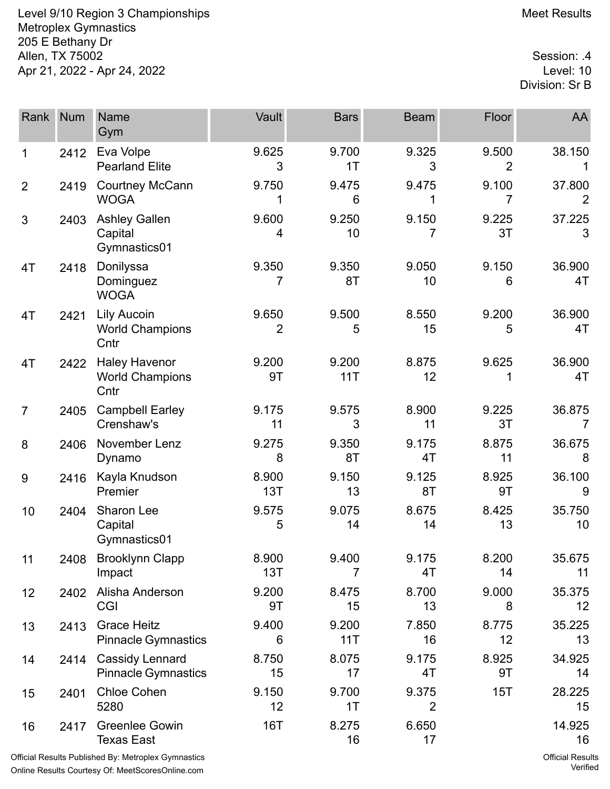Level 9/10 Region 3 Championships Meet Results Metroplex Gymnastics 205 E Bethany Dr 4. Allen, TX 75002<br>Apr 21, 2022 - Apr 24, 2022 Apr 21, 2022 - Apr 24, 2022

Division: Sr B

| Rank           | <b>Num</b> | Name<br>Gym                                            | Vault        | <b>Bars</b>  | <b>Beam</b>             | Floor       | AA           |
|----------------|------------|--------------------------------------------------------|--------------|--------------|-------------------------|-------------|--------------|
| 1              | 2412       | Eva Volpe<br><b>Pearland Elite</b>                     | 9.625<br>3   | 9.700<br>1T  | 9.325<br>3              | 9.500<br>2  | 38.150       |
| $\overline{2}$ | 2419       | <b>Courtney McCann</b><br><b>WOGA</b>                  | 9.750<br>1   | 9.475<br>6   | 9.475<br>1              | 9.100<br>7  | 37.800       |
| 3              | 2403       | <b>Ashley Gallen</b><br>Capital<br>Gymnastics01        | 9.600<br>4   | 9.250<br>10  | 9.150<br>7              | 9.225<br>3T | 37.225<br>3  |
| 4T             | 2418       | Donilyssa<br>Dominguez<br><b>WOGA</b>                  | 9.350<br>7   | 9.350<br>8T  | 9.050<br>10             | 9.150<br>6  | 36.900<br>4T |
| 4T             | 2421       | Lily Aucoin<br><b>World Champions</b><br>Cntr          | 9.650<br>2   | 9.500<br>5   | 8.550<br>15             | 9.200<br>5  | 36.900<br>4T |
| 4T             | 2422       | <b>Haley Havenor</b><br><b>World Champions</b><br>Cntr | 9.200<br>9T  | 9.200<br>11T | 8.875<br>12             | 9.625       | 36.900<br>4T |
| $\overline{7}$ | 2405       | <b>Campbell Earley</b><br>Crenshaw's                   | 9.175<br>11  | 9.575<br>3   | 8.900<br>11             | 9.225<br>3T | 36.875<br>7  |
| 8              | 2406       | November Lenz<br>Dynamo                                | 9.275<br>8   | 9.350<br>8T  | 9.175<br>4T             | 8.875<br>11 | 36.675<br>8  |
| 9              | 2416       | Kayla Knudson<br>Premier                               | 8.900<br>13T | 9.150<br>13  | 9.125<br>8T             | 8.925<br>9T | 36.100<br>9  |
| 10             | 2404       | Sharon Lee<br>Capital<br>Gymnastics01                  | 9.575<br>5   | 9.075<br>14  | 8.675<br>14             | 8.425<br>13 | 35.750<br>10 |
| 11             |            | 2408 Brooklynn Clapp<br>Impact                         | 8.900<br>13T | 9.400<br>7   | 9.175<br>4T             | 8.200<br>14 | 35.675<br>11 |
| 12             | 2402       | Alisha Anderson<br><b>CGI</b>                          | 9.200<br>9T  | 8.475<br>15  | 8.700<br>13             | 9.000<br>8  | 35.375<br>12 |
| 13             | 2413       | <b>Grace Heitz</b><br><b>Pinnacle Gymnastics</b>       | 9.400<br>6   | 9.200<br>11T | 7.850<br>16             | 8.775<br>12 | 35.225<br>13 |
| 14             | 2414       | <b>Cassidy Lennard</b><br><b>Pinnacle Gymnastics</b>   | 8.750<br>15  | 8.075<br>17  | 9.175<br>4T             | 8.925<br>9T | 34.925<br>14 |
| 15             | 2401       | <b>Chloe Cohen</b><br>5280                             | 9.150<br>12  | 9.700<br>1T  | 9.375<br>$\overline{2}$ | 15T         | 28.225<br>15 |
| 16             | 2417       | <b>Greenlee Gowin</b><br><b>Texas East</b>             | <b>16T</b>   | 8.275<br>16  | 6.650<br>17             |             | 14.925<br>16 |
|                |            |                                                        |              |              |                         |             |              |

Official Results Published By: Metroplex Gymnastics Online Results Courtesy Of: [MeetScoresOnline.com](http://www.meetscoresonline.com)